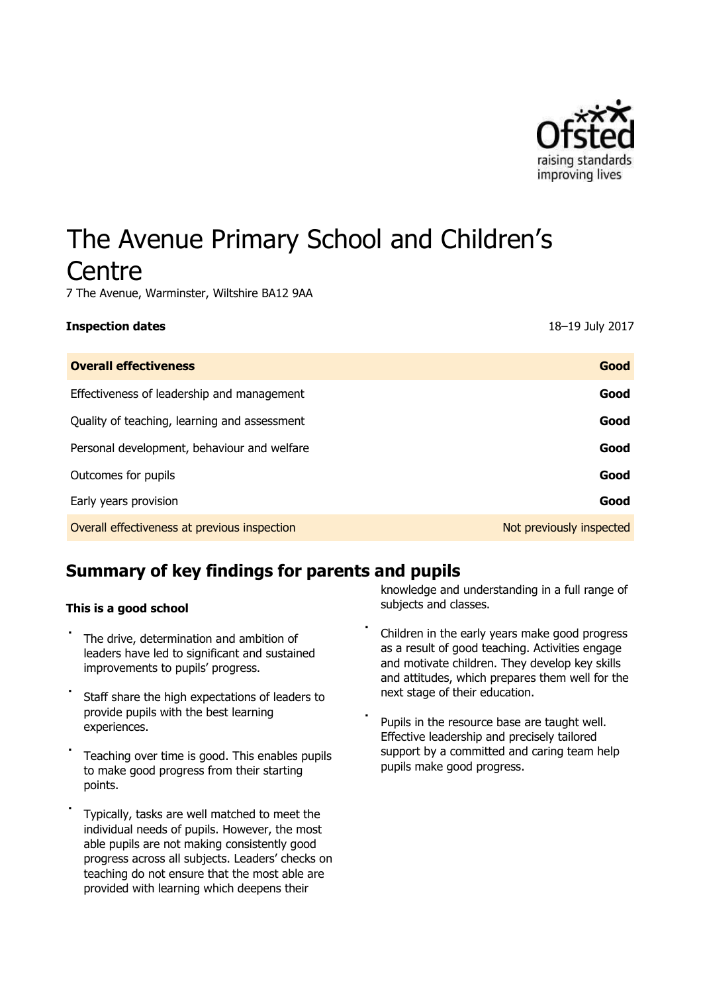

# The Avenue Primary School and Children's **Centre**

7 The Avenue, Warminster, Wiltshire BA12 9AA

#### **Inspection dates** 18–19 July 2017

| <b>Overall effectiveness</b>                 | Good                     |
|----------------------------------------------|--------------------------|
| Effectiveness of leadership and management   | Good                     |
| Quality of teaching, learning and assessment | Good                     |
| Personal development, behaviour and welfare  | Good                     |
| Outcomes for pupils                          | Good                     |
| Early years provision                        | Good                     |
| Overall effectiveness at previous inspection | Not previously inspected |

# **Summary of key findings for parents and pupils**

#### **This is a good school**

- The drive, determination and ambition of leaders have led to significant and sustained improvements to pupils' progress.
- Staff share the high expectations of leaders to provide pupils with the best learning experiences.
- Teaching over time is good. This enables pupils to make good progress from their starting points.
- Typically, tasks are well matched to meet the individual needs of pupils. However, the most able pupils are not making consistently good progress across all subjects. Leaders' checks on teaching do not ensure that the most able are provided with learning which deepens their

knowledge and understanding in a full range of subjects and classes.

- Children in the early years make good progress as a result of good teaching. Activities engage and motivate children. They develop key skills and attitudes, which prepares them well for the next stage of their education.
- Pupils in the resource base are taught well. Effective leadership and precisely tailored support by a committed and caring team help pupils make good progress.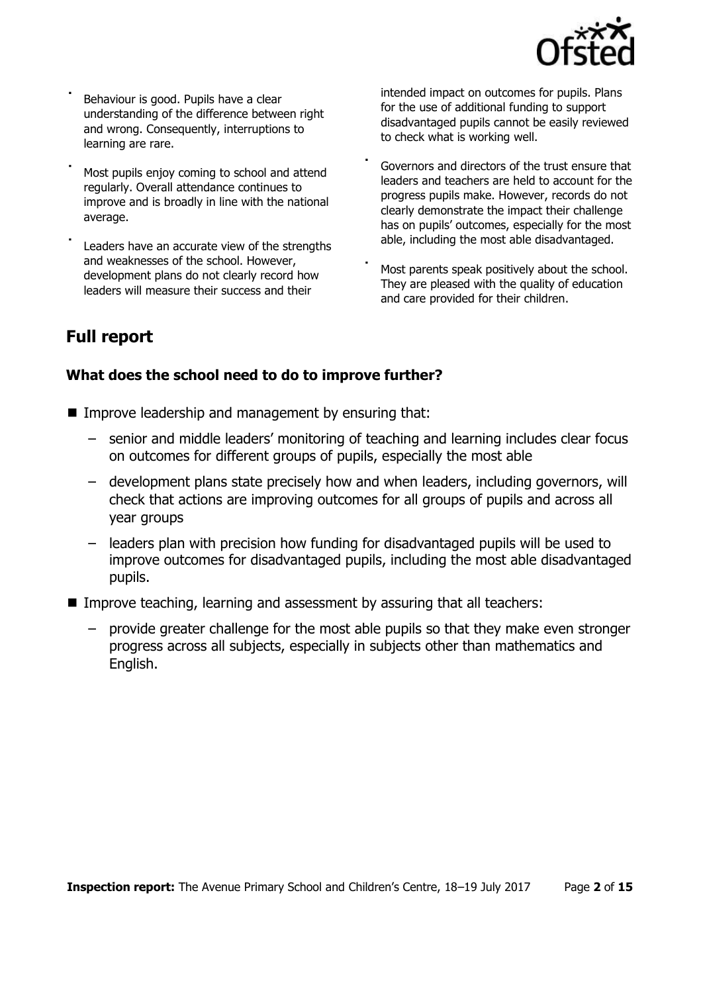

Behaviour is good. Pupils have a clear understanding of the difference between right and wrong. Consequently, interruptions to learning are rare.

Most pupils enjoy coming to school and attend regularly. Overall attendance continues to improve and is broadly in line with the national average.

Leaders have an accurate view of the strengths and weaknesses of the school. However, development plans do not clearly record how leaders will measure their success and their

intended impact on outcomes for pupils. Plans for the use of additional funding to support disadvantaged pupils cannot be easily reviewed to check what is working well.

- Governors and directors of the trust ensure that leaders and teachers are held to account for the progress pupils make. However, records do not clearly demonstrate the impact their challenge has on pupils' outcomes, especially for the most able, including the most able disadvantaged.
- Most parents speak positively about the school. They are pleased with the quality of education and care provided for their children.

# **Full report**

# **What does the school need to do to improve further?**

- Improve leadership and management by ensuring that:
	- senior and middle leaders' monitoring of teaching and learning includes clear focus on outcomes for different groups of pupils, especially the most able
	- development plans state precisely how and when leaders, including governors, will check that actions are improving outcomes for all groups of pupils and across all year groups
	- leaders plan with precision how funding for disadvantaged pupils will be used to improve outcomes for disadvantaged pupils, including the most able disadvantaged pupils.
- Improve teaching, learning and assessment by assuring that all teachers:
	- provide greater challenge for the most able pupils so that they make even stronger progress across all subjects, especially in subjects other than mathematics and English.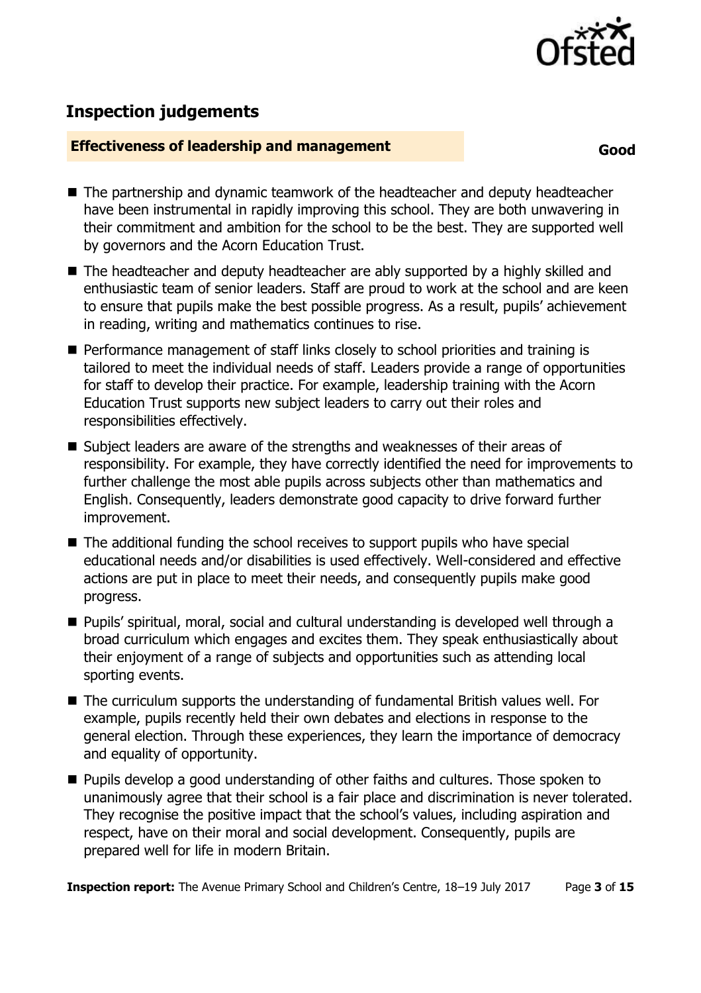

# **Inspection judgements**

# **Effectiveness of leadership and management**

**Good** 

- The partnership and dynamic teamwork of the headteacher and deputy headteacher have been instrumental in rapidly improving this school. They are both unwavering in their commitment and ambition for the school to be the best. They are supported well by governors and the Acorn Education Trust.
- The headteacher and deputy headteacher are ably supported by a highly skilled and enthusiastic team of senior leaders. Staff are proud to work at the school and are keen to ensure that pupils make the best possible progress. As a result, pupils' achievement in reading, writing and mathematics continues to rise.
- **Performance management of staff links closely to school priorities and training is** tailored to meet the individual needs of staff. Leaders provide a range of opportunities for staff to develop their practice. For example, leadership training with the Acorn Education Trust supports new subject leaders to carry out their roles and responsibilities effectively.
- Subject leaders are aware of the strengths and weaknesses of their areas of responsibility. For example, they have correctly identified the need for improvements to further challenge the most able pupils across subjects other than mathematics and English. Consequently, leaders demonstrate good capacity to drive forward further improvement.
- The additional funding the school receives to support pupils who have special educational needs and/or disabilities is used effectively. Well-considered and effective actions are put in place to meet their needs, and consequently pupils make good progress.
- Pupils' spiritual, moral, social and cultural understanding is developed well through a broad curriculum which engages and excites them. They speak enthusiastically about their enjoyment of a range of subjects and opportunities such as attending local sporting events.
- The curriculum supports the understanding of fundamental British values well. For example, pupils recently held their own debates and elections in response to the general election. Through these experiences, they learn the importance of democracy and equality of opportunity.
- **Pupils develop a good understanding of other faiths and cultures. Those spoken to** unanimously agree that their school is a fair place and discrimination is never tolerated. They recognise the positive impact that the school's values, including aspiration and respect, have on their moral and social development. Consequently, pupils are prepared well for life in modern Britain.

**Inspection report:** The Avenue Primary School and Children's Centre, 18-19 July 2017 Page 3 of 15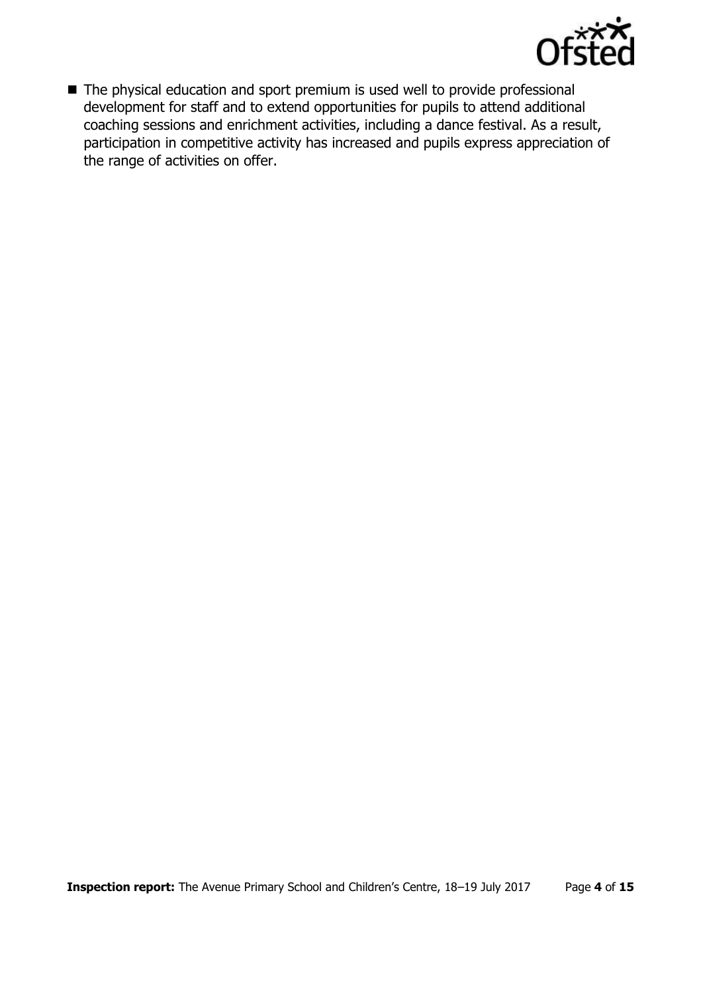

■ The physical education and sport premium is used well to provide professional development for staff and to extend opportunities for pupils to attend additional coaching sessions and enrichment activities, including a dance festival. As a result, participation in competitive activity has increased and pupils express appreciation of the range of activities on offer.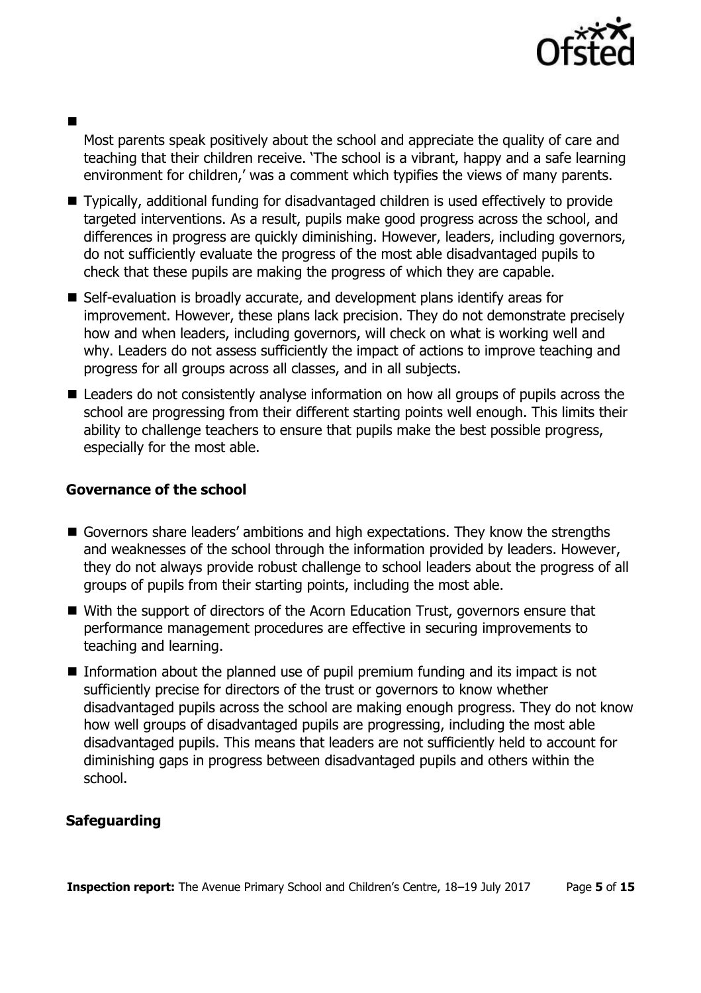

# 

Most parents speak positively about the school and appreciate the quality of care and teaching that their children receive. 'The school is a vibrant, happy and a safe learning environment for children,' was a comment which typifies the views of many parents.

- Typically, additional funding for disadvantaged children is used effectively to provide targeted interventions. As a result, pupils make good progress across the school, and differences in progress are quickly diminishing. However, leaders, including governors, do not sufficiently evaluate the progress of the most able disadvantaged pupils to check that these pupils are making the progress of which they are capable.
- Self-evaluation is broadly accurate, and development plans identify areas for improvement. However, these plans lack precision. They do not demonstrate precisely how and when leaders, including governors, will check on what is working well and why. Leaders do not assess sufficiently the impact of actions to improve teaching and progress for all groups across all classes, and in all subjects.
- Leaders do not consistently analyse information on how all groups of pupils across the school are progressing from their different starting points well enough. This limits their ability to challenge teachers to ensure that pupils make the best possible progress, especially for the most able.

# **Governance of the school**

- Governors share leaders' ambitions and high expectations. They know the strengths and weaknesses of the school through the information provided by leaders. However, they do not always provide robust challenge to school leaders about the progress of all groups of pupils from their starting points, including the most able.
- With the support of directors of the Acorn Education Trust, governors ensure that performance management procedures are effective in securing improvements to teaching and learning.
- Information about the planned use of pupil premium funding and its impact is not sufficiently precise for directors of the trust or governors to know whether disadvantaged pupils across the school are making enough progress. They do not know how well groups of disadvantaged pupils are progressing, including the most able disadvantaged pupils. This means that leaders are not sufficiently held to account for diminishing gaps in progress between disadvantaged pupils and others within the school.

# **Safeguarding**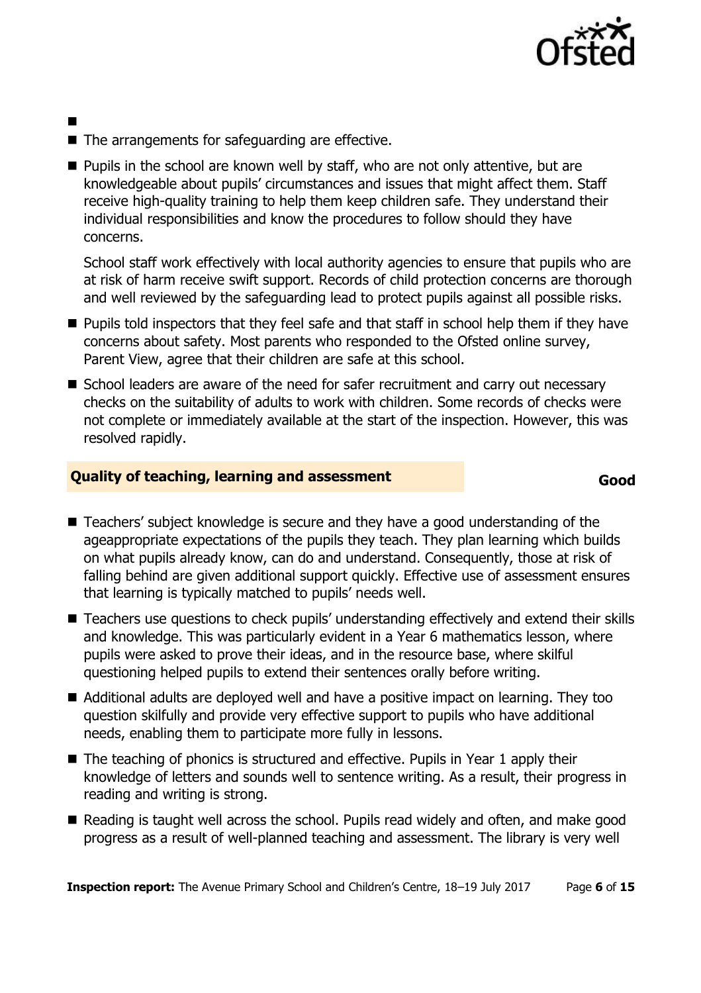

- п
- $\blacksquare$  The arrangements for safeguarding are effective.
- $\blacksquare$  Pupils in the school are known well by staff, who are not only attentive, but are knowledgeable about pupils' circumstances and issues that might affect them. Staff receive high-quality training to help them keep children safe. They understand their individual responsibilities and know the procedures to follow should they have concerns.

School staff work effectively with local authority agencies to ensure that pupils who are at risk of harm receive swift support. Records of child protection concerns are thorough and well reviewed by the safeguarding lead to protect pupils against all possible risks.

- **Pupils told inspectors that they feel safe and that staff in school help them if they have** concerns about safety. Most parents who responded to the Ofsted online survey, Parent View, agree that their children are safe at this school.
- School leaders are aware of the need for safer recruitment and carry out necessary checks on the suitability of adults to work with children. Some records of checks were not complete or immediately available at the start of the inspection. However, this was resolved rapidly.

# **Quality of teaching, learning and assessment**

#### **Good**

- Teachers' subject knowledge is secure and they have a good understanding of the ageappropriate expectations of the pupils they teach. They plan learning which builds on what pupils already know, can do and understand. Consequently, those at risk of falling behind are given additional support quickly. Effective use of assessment ensures that learning is typically matched to pupils' needs well.
- Teachers use questions to check pupils' understanding effectively and extend their skills and knowledge. This was particularly evident in a Year 6 mathematics lesson, where pupils were asked to prove their ideas, and in the resource base, where skilful questioning helped pupils to extend their sentences orally before writing.
- Additional adults are deployed well and have a positive impact on learning. They too question skilfully and provide very effective support to pupils who have additional needs, enabling them to participate more fully in lessons.
- The teaching of phonics is structured and effective. Pupils in Year 1 apply their knowledge of letters and sounds well to sentence writing. As a result, their progress in reading and writing is strong.
- Reading is taught well across the school. Pupils read widely and often, and make good progress as a result of well-planned teaching and assessment. The library is very well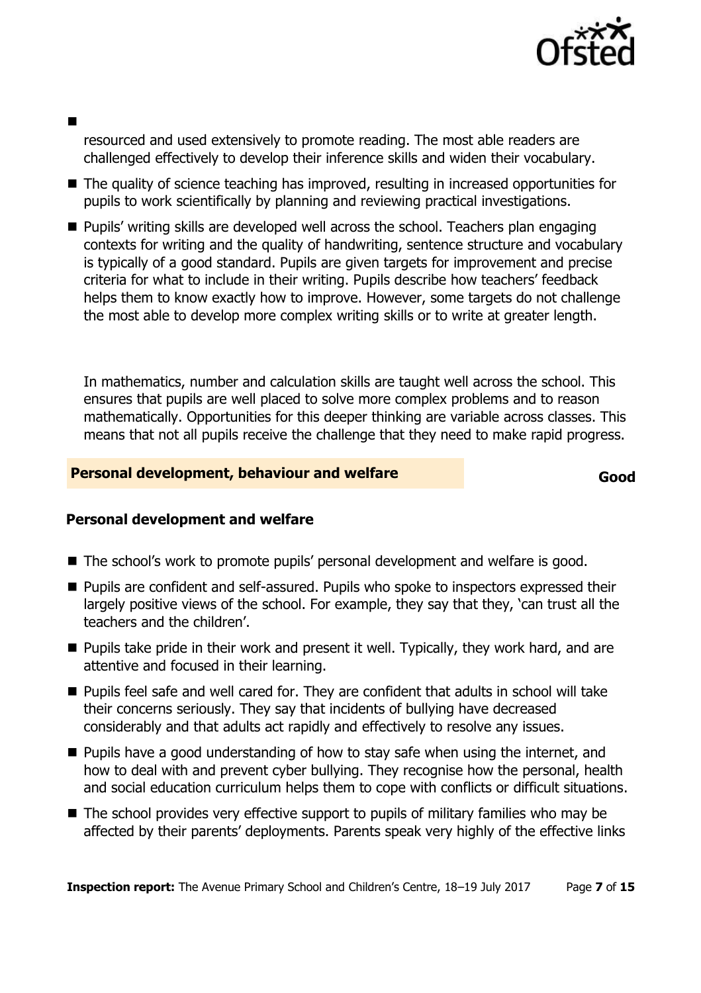

# 

resourced and used extensively to promote reading. The most able readers are challenged effectively to develop their inference skills and widen their vocabulary.

- The quality of science teaching has improved, resulting in increased opportunities for pupils to work scientifically by planning and reviewing practical investigations.
- Pupils' writing skills are developed well across the school. Teachers plan engaging contexts for writing and the quality of handwriting, sentence structure and vocabulary is typically of a good standard. Pupils are given targets for improvement and precise criteria for what to include in their writing. Pupils describe how teachers' feedback helps them to know exactly how to improve. However, some targets do not challenge the most able to develop more complex writing skills or to write at greater length.

In mathematics, number and calculation skills are taught well across the school. This ensures that pupils are well placed to solve more complex problems and to reason mathematically. Opportunities for this deeper thinking are variable across classes. This means that not all pupils receive the challenge that they need to make rapid progress.

# **Personal development, behaviour and welfare**

**Good** 

# **Personal development and welfare**

- The school's work to promote pupils' personal development and welfare is good.
- Pupils are confident and self-assured. Pupils who spoke to inspectors expressed their largely positive views of the school. For example, they say that they, 'can trust all the teachers and the children'.
- **Pupils take pride in their work and present it well. Typically, they work hard, and are** attentive and focused in their learning.
- **Pupils feel safe and well cared for. They are confident that adults in school will take** their concerns seriously. They say that incidents of bullying have decreased considerably and that adults act rapidly and effectively to resolve any issues.
- $\blacksquare$  Pupils have a good understanding of how to stay safe when using the internet, and how to deal with and prevent cyber bullying. They recognise how the personal, health and social education curriculum helps them to cope with conflicts or difficult situations.
- The school provides very effective support to pupils of military families who may be affected by their parents' deployments. Parents speak very highly of the effective links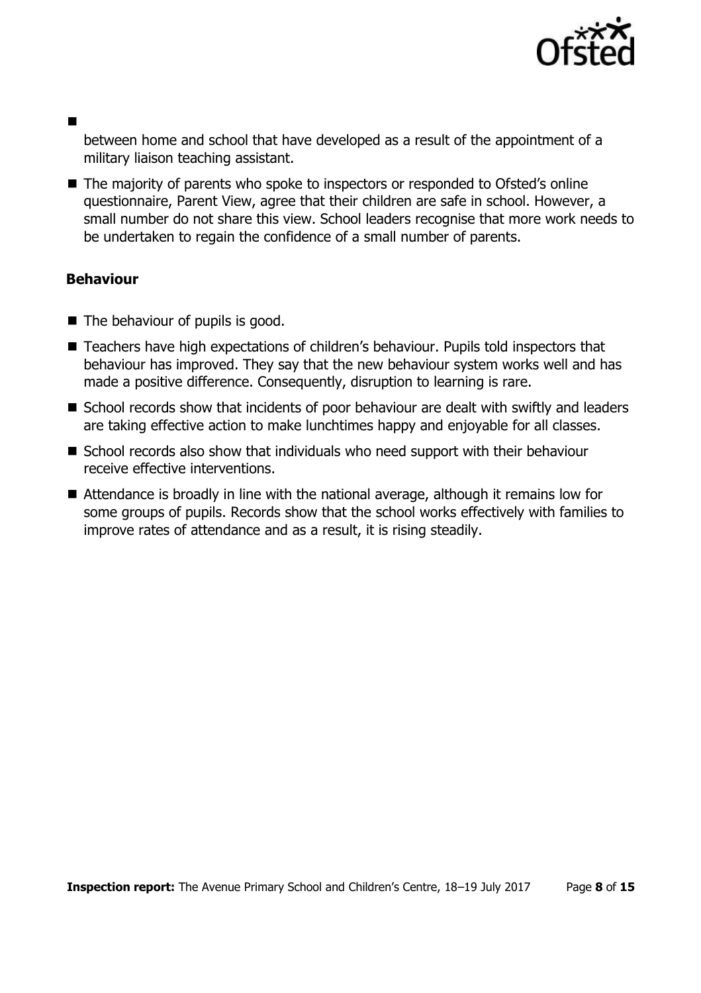

between home and school that have developed as a result of the appointment of a military liaison teaching assistant.

■ The majority of parents who spoke to inspectors or responded to Ofsted's online questionnaire, Parent View, agree that their children are safe in school. However, a small number do not share this view. School leaders recognise that more work needs to be undertaken to regain the confidence of a small number of parents.

# **Behaviour**

- The behaviour of pupils is good.
- Teachers have high expectations of children's behaviour. Pupils told inspectors that behaviour has improved. They say that the new behaviour system works well and has made a positive difference. Consequently, disruption to learning is rare.
- School records show that incidents of poor behaviour are dealt with swiftly and leaders are taking effective action to make lunchtimes happy and enjoyable for all classes.
- School records also show that individuals who need support with their behaviour receive effective interventions.
- Attendance is broadly in line with the national average, although it remains low for some groups of pupils. Records show that the school works effectively with families to improve rates of attendance and as a result, it is rising steadily.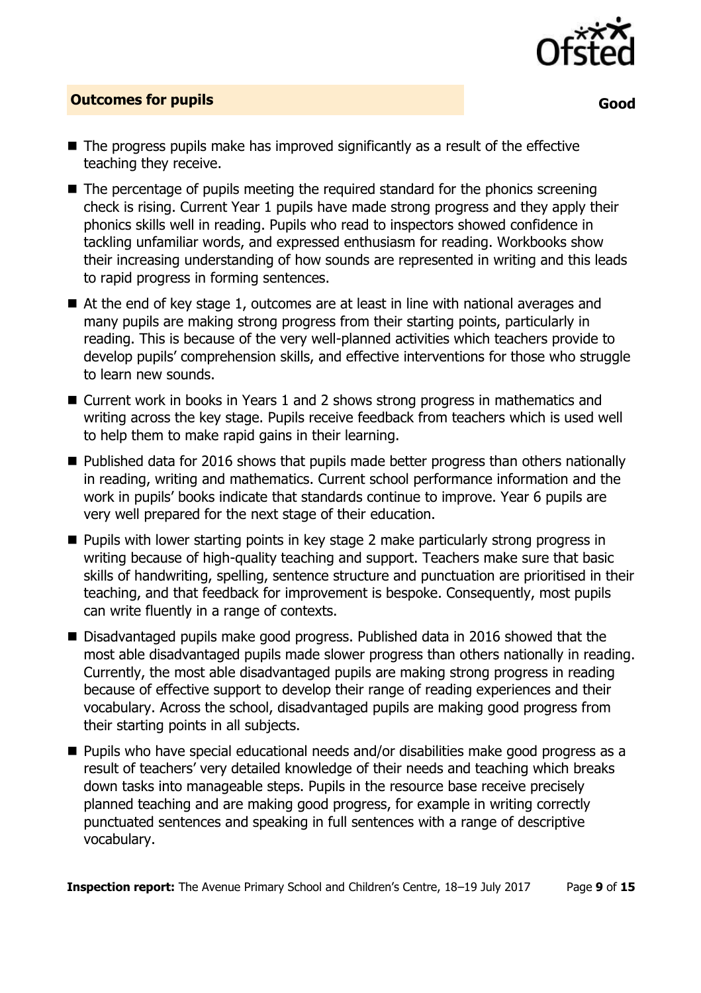

# **Outcomes for pupils**

**Good** 

- $\blacksquare$  The progress pupils make has improved significantly as a result of the effective teaching they receive.
- The percentage of pupils meeting the required standard for the phonics screening check is rising. Current Year 1 pupils have made strong progress and they apply their phonics skills well in reading. Pupils who read to inspectors showed confidence in tackling unfamiliar words, and expressed enthusiasm for reading. Workbooks show their increasing understanding of how sounds are represented in writing and this leads to rapid progress in forming sentences.
- At the end of key stage 1, outcomes are at least in line with national averages and many pupils are making strong progress from their starting points, particularly in reading. This is because of the very well-planned activities which teachers provide to develop pupils' comprehension skills, and effective interventions for those who struggle to learn new sounds.
- Current work in books in Years 1 and 2 shows strong progress in mathematics and writing across the key stage. Pupils receive feedback from teachers which is used well to help them to make rapid gains in their learning.
- $\blacksquare$  Published data for 2016 shows that pupils made better progress than others nationally in reading, writing and mathematics. Current school performance information and the work in pupils' books indicate that standards continue to improve. Year 6 pupils are very well prepared for the next stage of their education.
- **Pupils with lower starting points in key stage 2 make particularly strong progress in** writing because of high-quality teaching and support. Teachers make sure that basic skills of handwriting, spelling, sentence structure and punctuation are prioritised in their teaching, and that feedback for improvement is bespoke. Consequently, most pupils can write fluently in a range of contexts.
- Disadvantaged pupils make good progress, Published data in 2016 showed that the most able disadvantaged pupils made slower progress than others nationally in reading. Currently, the most able disadvantaged pupils are making strong progress in reading because of effective support to develop their range of reading experiences and their vocabulary. Across the school, disadvantaged pupils are making good progress from their starting points in all subjects.
- Pupils who have special educational needs and/or disabilities make good progress as a result of teachers' very detailed knowledge of their needs and teaching which breaks down tasks into manageable steps. Pupils in the resource base receive precisely planned teaching and are making good progress, for example in writing correctly punctuated sentences and speaking in full sentences with a range of descriptive vocabulary.

**Inspection report:** The Avenue Primary School and Children's Centre, 18–19 July 2017 Page **9** of **15**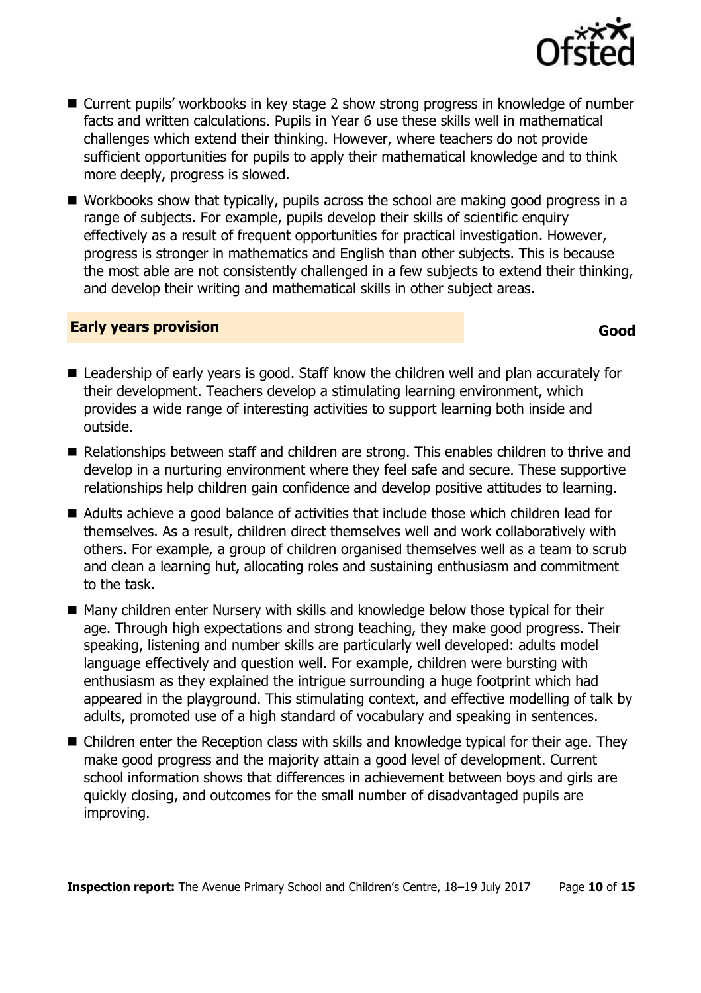- Current pupils' workbooks in key stage 2 show strong progress in knowledge of number facts and written calculations. Pupils in Year 6 use these skills well in mathematical challenges which extend their thinking. However, where teachers do not provide sufficient opportunities for pupils to apply their mathematical knowledge and to think more deeply, progress is slowed.
- Workbooks show that typically, pupils across the school are making good progress in a range of subjects. For example, pupils develop their skills of scientific enquiry effectively as a result of frequent opportunities for practical investigation. However, progress is stronger in mathematics and English than other subjects. This is because the most able are not consistently challenged in a few subjects to extend their thinking, and develop their writing and mathematical skills in other subject areas.

#### **Early years provision**

- Leadership of early years is good. Staff know the children well and plan accurately for their development. Teachers develop a stimulating learning environment, which provides a wide range of interesting activities to support learning both inside and outside.
- Relationships between staff and children are strong. This enables children to thrive and develop in a nurturing environment where they feel safe and secure. These supportive relationships help children gain confidence and develop positive attitudes to learning.
- Adults achieve a good balance of activities that include those which children lead for themselves. As a result, children direct themselves well and work collaboratively with others. For example, a group of children organised themselves well as a team to scrub and clean a learning hut, allocating roles and sustaining enthusiasm and commitment to the task.
- Many children enter Nursery with skills and knowledge below those typical for their age. Through high expectations and strong teaching, they make good progress. Their speaking, listening and number skills are particularly well developed: adults model language effectively and question well. For example, children were bursting with enthusiasm as they explained the intrigue surrounding a huge footprint which had appeared in the playground. This stimulating context, and effective modelling of talk by adults, promoted use of a high standard of vocabulary and speaking in sentences.
- Children enter the Reception class with skills and knowledge typical for their age. They make good progress and the majority attain a good level of development. Current school information shows that differences in achievement between boys and girls are quickly closing, and outcomes for the small number of disadvantaged pupils are improving.

**Inspection report:** The Avenue Primary School and Children's Centre, 18-19 July 2017 Page 10 of 15

# **Good**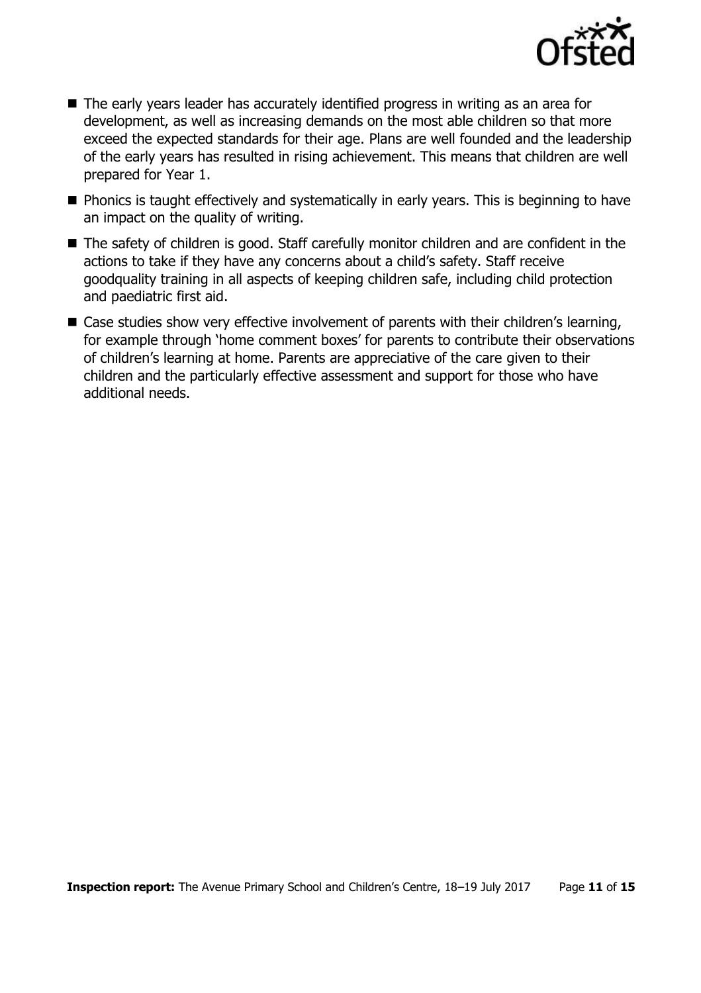

- The early years leader has accurately identified progress in writing as an area for development, as well as increasing demands on the most able children so that more exceed the expected standards for their age. Plans are well founded and the leadership of the early years has resulted in rising achievement. This means that children are well prepared for Year 1.
- **Phonics is taught effectively and systematically in early years. This is beginning to have** an impact on the quality of writing.
- The safety of children is good. Staff carefully monitor children and are confident in the actions to take if they have any concerns about a child's safety. Staff receive goodquality training in all aspects of keeping children safe, including child protection and paediatric first aid.
- Case studies show very effective involvement of parents with their children's learning, for example through 'home comment boxes' for parents to contribute their observations of children's learning at home. Parents are appreciative of the care given to their children and the particularly effective assessment and support for those who have additional needs.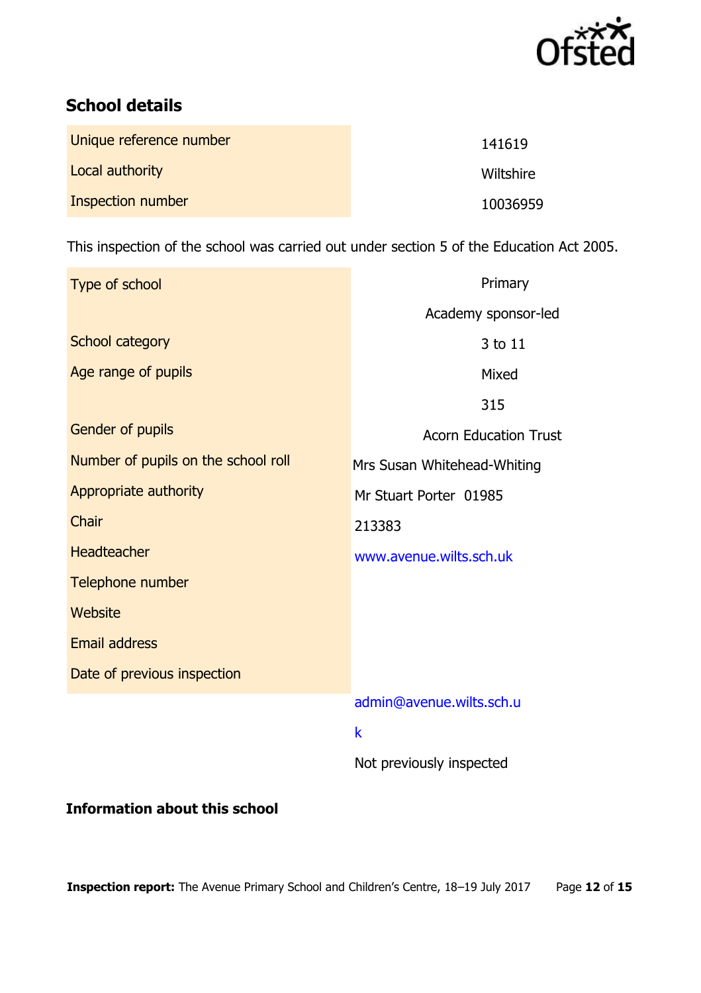

# **School details**

| Unique reference number | 141619    |
|-------------------------|-----------|
| Local authority         | Wiltshire |
| Inspection number       | 10036959  |

This inspection of the school was carried out under section 5 of the Education Act 2005.

| Type of school                      | Primary                      |
|-------------------------------------|------------------------------|
|                                     | Academy sponsor-led          |
| School category                     | 3 to 11                      |
| Age range of pupils                 | Mixed                        |
|                                     | 315                          |
| Gender of pupils                    | <b>Acorn Education Trust</b> |
| Number of pupils on the school roll | Mrs Susan Whitehead-Whiting  |
| Appropriate authority               | Mr Stuart Porter 01985       |
| Chair                               | 213383                       |
| Headteacher                         | www.avenue.wilts.sch.uk      |
| Telephone number                    |                              |
| Website                             |                              |
| <b>Email address</b>                |                              |
| Date of previous inspection         |                              |
|                                     | admin@avenue.wilts.sch.u     |
|                                     | $\mathsf k$                  |
|                                     | Not previously inspected     |

# **Information about this school**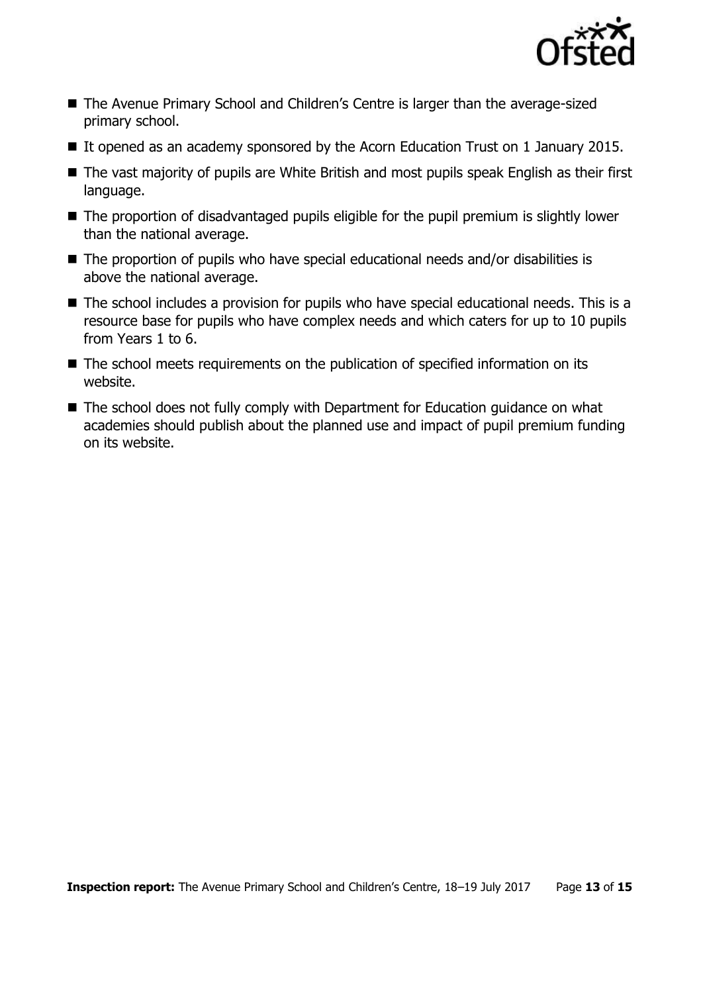

- The Avenue Primary School and Children's Centre is larger than the average-sized primary school.
- If opened as an academy sponsored by the Acorn Education Trust on 1 January 2015.
- The vast majority of pupils are White British and most pupils speak English as their first language.
- The proportion of disadvantaged pupils eligible for the pupil premium is slightly lower than the national average.
- The proportion of pupils who have special educational needs and/or disabilities is above the national average.
- The school includes a provision for pupils who have special educational needs. This is a resource base for pupils who have complex needs and which caters for up to 10 pupils from Years 1 to 6.
- The school meets requirements on the publication of specified information on its website.
- The school does not fully comply with Department for Education guidance on what academies should publish about the planned use and impact of pupil premium funding on its website.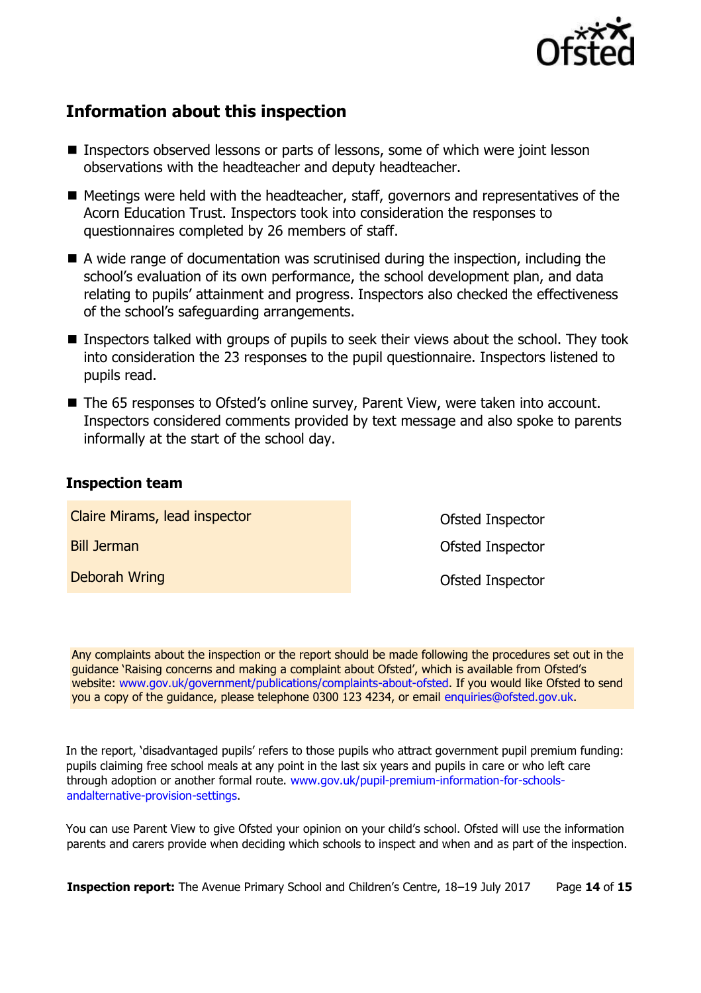

# **Information about this inspection**

- Inspectors observed lessons or parts of lessons, some of which were joint lesson observations with the headteacher and deputy headteacher.
- $\blacksquare$  Meetings were held with the headteacher, staff, governors and representatives of the Acorn Education Trust. Inspectors took into consideration the responses to questionnaires completed by 26 members of staff.
- $\blacksquare$  A wide range of documentation was scrutinised during the inspection, including the school's evaluation of its own performance, the school development plan, and data relating to pupils' attainment and progress. Inspectors also checked the effectiveness of the school's safeguarding arrangements.
- Inspectors talked with groups of pupils to seek their views about the school. They took into consideration the 23 responses to the pupil questionnaire. Inspectors listened to pupils read.
- The 65 responses to Ofsted's online survey, Parent View, were taken into account. Inspectors considered comments provided by text message and also spoke to parents informally at the start of the school day.

# **Inspection team**

Claire Mirams, lead inspector Bill Jerman Deborah Wring

Ofsted Inspector Ofsted Inspector Ofsted Inspector

Any complaints about the inspection or the report should be made following the procedures set out in the guidance 'Raising concerns and making a complaint about Ofsted', which is available from Ofsted's website: [www.gov.uk/government/publications/complaints-about-ofsted.](http://www.gov.uk/government/publications/complaints-about-ofsted) If you would like Ofsted to send you a copy of the guidance, please telephone 0300 123 4234, or email enquiries@ofsted.gov.uk.

In the report, 'disadvantaged pupils' refers to those pupils who attract government pupil premium funding: pupils claiming free school meals at any point in the last six years and pupils in care or who left care through adoption or another formal route. [www.gov.uk/pupil-premium-information-for-schools](http://www.gov.uk/pupil-premium-information-for-schools-and-alternative-provision-settings)[andalternative-provision-settings.](http://www.gov.uk/pupil-premium-information-for-schools-and-alternative-provision-settings)

You can use Parent View to give Ofsted your opinion on your child's school. Ofsted will use the information parents and carers provide when deciding which schools to inspect and when and as part of the inspection.

**Inspection report:** The Avenue Primary School and Children's Centre, 18-19 July 2017 Page 14 of 15